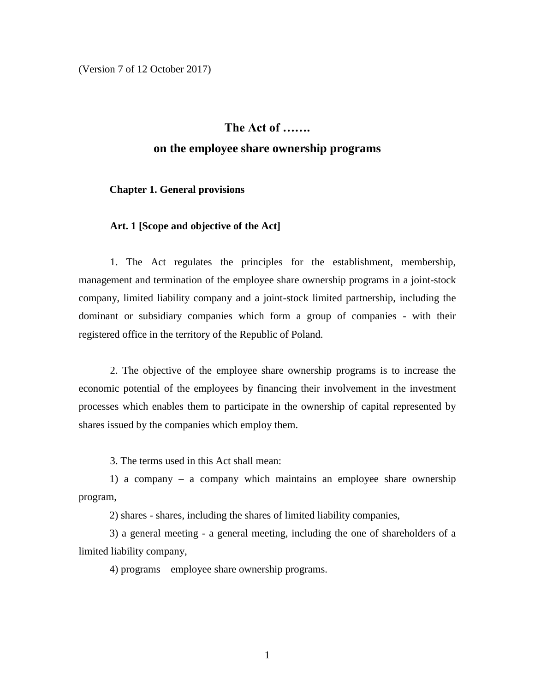(Version 7 of 12 October 2017)

### **The Act of …….**

### **on the employee share ownership programs**

**Chapter 1. General provisions**

### **Art. 1 [Scope and objective of the Act]**

1. The Act regulates the principles for the establishment, membership, management and termination of the employee share ownership programs in a joint-stock company, limited liability company and a joint-stock limited partnership, including the dominant or subsidiary companies which form a group of companies - with their registered office in the territory of the Republic of Poland.

2. The objective of the employee share ownership programs is to increase the economic potential of the employees by financing their involvement in the investment processes which enables them to participate in the ownership of capital represented by shares issued by the companies which employ them.

3. The terms used in this Act shall mean:

1) a company – a company which maintains an employee share ownership program,

2) shares - shares, including the shares of limited liability companies,

3) a general meeting - a general meeting, including the one of shareholders of a limited liability company,

4) programs – employee share ownership programs.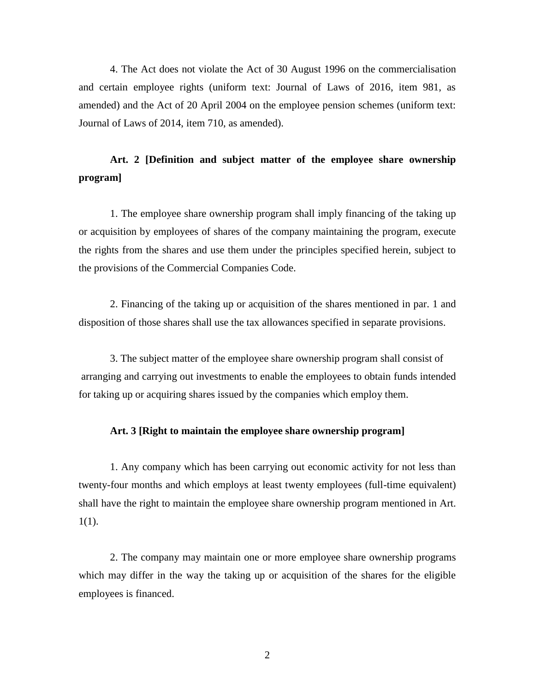4. The Act does not violate the Act of 30 August 1996 on the commercialisation and certain employee rights (uniform text: Journal of Laws of 2016, item 981, as amended) and the Act of 20 April 2004 on the employee pension schemes (uniform text: Journal of Laws of 2014, item 710, as amended).

# **Art. 2 [Definition and subject matter of the employee share ownership program]**

1. The employee share ownership program shall imply financing of the taking up or acquisition by employees of shares of the company maintaining the program, execute the rights from the shares and use them under the principles specified herein, subject to the provisions of the Commercial Companies Code.

2. Financing of the taking up or acquisition of the shares mentioned in par. 1 and disposition of those shares shall use the tax allowances specified in separate provisions.

3. The subject matter of the employee share ownership program shall consist of arranging and carrying out investments to enable the employees to obtain funds intended for taking up or acquiring shares issued by the companies which employ them.

#### **Art. 3 [Right to maintain the employee share ownership program]**

1. Any company which has been carrying out economic activity for not less than twenty-four months and which employs at least twenty employees (full-time equivalent) shall have the right to maintain the employee share ownership program mentioned in Art. 1(1).

2. The company may maintain one or more employee share ownership programs which may differ in the way the taking up or acquisition of the shares for the eligible employees is financed.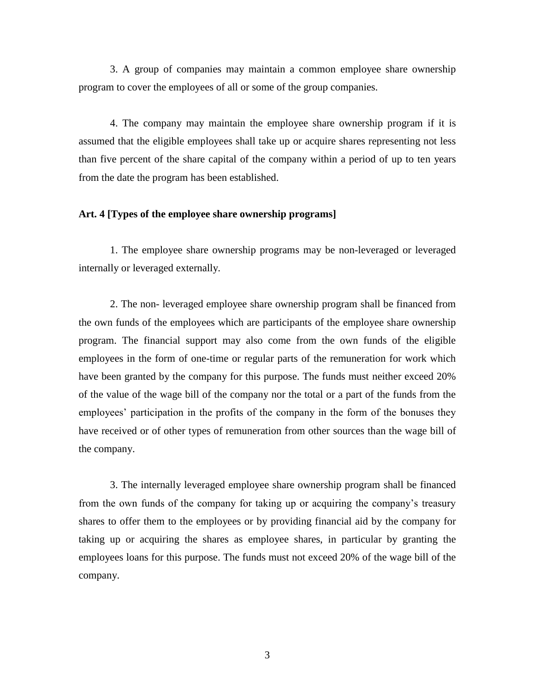3. A group of companies may maintain a common employee share ownership program to cover the employees of all or some of the group companies.

4. The company may maintain the employee share ownership program if it is assumed that the eligible employees shall take up or acquire shares representing not less than five percent of the share capital of the company within a period of up to ten years from the date the program has been established.

### **Art. 4 [Types of the employee share ownership programs]**

1. The employee share ownership programs may be non-leveraged or leveraged internally or leveraged externally.

2. The non- leveraged employee share ownership program shall be financed from the own funds of the employees which are participants of the employee share ownership program. The financial support may also come from the own funds of the eligible employees in the form of one-time or regular parts of the remuneration for work which have been granted by the company for this purpose. The funds must neither exceed 20% of the value of the wage bill of the company nor the total or a part of the funds from the employees' participation in the profits of the company in the form of the bonuses they have received or of other types of remuneration from other sources than the wage bill of the company.

3. The internally leveraged employee share ownership program shall be financed from the own funds of the company for taking up or acquiring the company's treasury shares to offer them to the employees or by providing financial aid by the company for taking up or acquiring the shares as employee shares, in particular by granting the employees loans for this purpose. The funds must not exceed 20% of the wage bill of the company.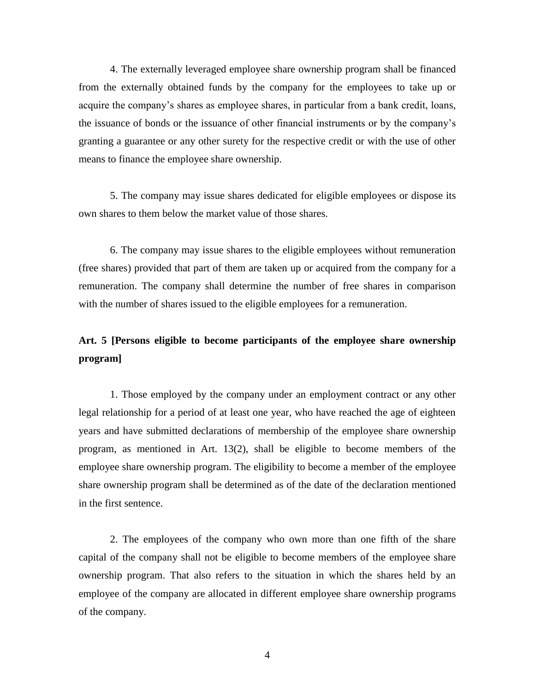4. The externally leveraged employee share ownership program shall be financed from the externally obtained funds by the company for the employees to take up or acquire the company's shares as employee shares, in particular from a bank credit, loans, the issuance of bonds or the issuance of other financial instruments or by the company's granting a guarantee or any other surety for the respective credit or with the use of other means to finance the employee share ownership.

5. The company may issue shares dedicated for eligible employees or dispose its own shares to them below the market value of those shares.

6. The company may issue shares to the eligible employees without remuneration (free shares) provided that part of them are taken up or acquired from the company for a remuneration. The company shall determine the number of free shares in comparison with the number of shares issued to the eligible employees for a remuneration.

# **Art. 5 [Persons eligible to become participants of the employee share ownership program]**

1. Those employed by the company under an employment contract or any other legal relationship for a period of at least one year, who have reached the age of eighteen years and have submitted declarations of membership of the employee share ownership program, as mentioned in Art. 13(2), shall be eligible to become members of the employee share ownership program. The eligibility to become a member of the employee share ownership program shall be determined as of the date of the declaration mentioned in the first sentence.

2. The employees of the company who own more than one fifth of the share capital of the company shall not be eligible to become members of the employee share ownership program. That also refers to the situation in which the shares held by an employee of the company are allocated in different employee share ownership programs of the company.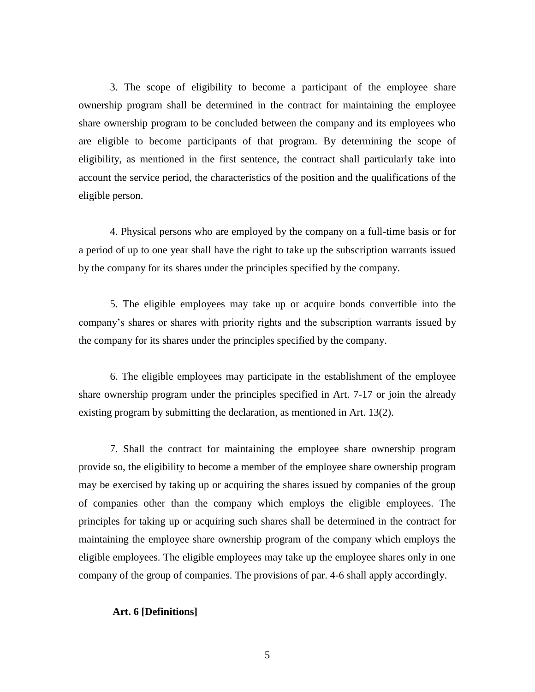3. The scope of eligibility to become a participant of the employee share ownership program shall be determined in the contract for maintaining the employee share ownership program to be concluded between the company and its employees who are eligible to become participants of that program. By determining the scope of eligibility, as mentioned in the first sentence, the contract shall particularly take into account the service period, the characteristics of the position and the qualifications of the eligible person.

4. Physical persons who are employed by the company on a full-time basis or for a period of up to one year shall have the right to take up the subscription warrants issued by the company for its shares under the principles specified by the company.

5. The eligible employees may take up or acquire bonds convertible into the company's shares or shares with priority rights and the subscription warrants issued by the company for its shares under the principles specified by the company.

6. The eligible employees may participate in the establishment of the employee share ownership program under the principles specified in Art. 7-17 or join the already existing program by submitting the declaration, as mentioned in Art. 13(2).

7. Shall the contract for maintaining the employee share ownership program provide so, the eligibility to become a member of the employee share ownership program may be exercised by taking up or acquiring the shares issued by companies of the group of companies other than the company which employs the eligible employees. The principles for taking up or acquiring such shares shall be determined in the contract for maintaining the employee share ownership program of the company which employs the eligible employees. The eligible employees may take up the employee shares only in one company of the group of companies. The provisions of par. 4-6 shall apply accordingly.

#### **Art. 6 [Definitions]**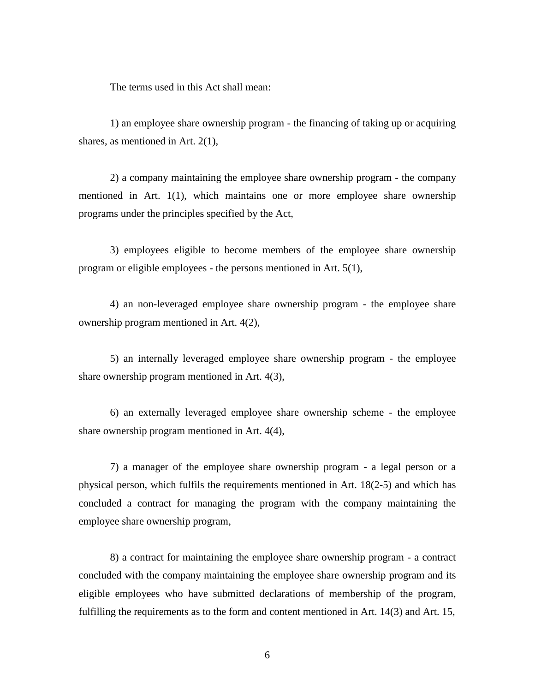The terms used in this Act shall mean:

1) an employee share ownership program - the financing of taking up or acquiring shares, as mentioned in Art. 2(1),

2) a company maintaining the employee share ownership program - the company mentioned in Art. 1(1), which maintains one or more employee share ownership programs under the principles specified by the Act,

3) employees eligible to become members of the employee share ownership program or eligible employees - the persons mentioned in Art. 5(1),

4) an non-leveraged employee share ownership program - the employee share ownership program mentioned in Art. 4(2),

5) an internally leveraged employee share ownership program - the employee share ownership program mentioned in Art. 4(3),

6) an externally leveraged employee share ownership scheme - the employee share ownership program mentioned in Art. 4(4),

7) a manager of the employee share ownership program - a legal person or a physical person, which fulfils the requirements mentioned in Art. 18(2-5) and which has concluded a contract for managing the program with the company maintaining the employee share ownership program,

8) a contract for maintaining the employee share ownership program - a contract concluded with the company maintaining the employee share ownership program and its eligible employees who have submitted declarations of membership of the program, fulfilling the requirements as to the form and content mentioned in Art. 14(3) and Art. 15,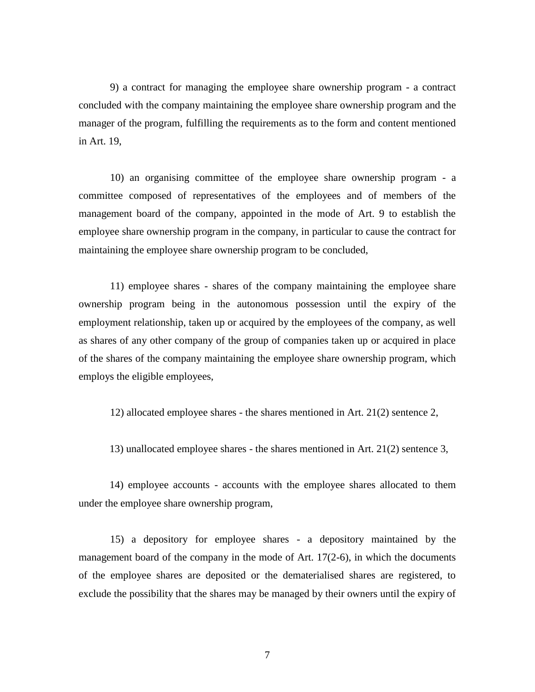9) a contract for managing the employee share ownership program - a contract concluded with the company maintaining the employee share ownership program and the manager of the program, fulfilling the requirements as to the form and content mentioned in Art. 19,

10) an organising committee of the employee share ownership program - a committee composed of representatives of the employees and of members of the management board of the company, appointed in the mode of Art. 9 to establish the employee share ownership program in the company, in particular to cause the contract for maintaining the employee share ownership program to be concluded,

11) employee shares - shares of the company maintaining the employee share ownership program being in the autonomous possession until the expiry of the employment relationship, taken up or acquired by the employees of the company, as well as shares of any other company of the group of companies taken up or acquired in place of the shares of the company maintaining the employee share ownership program, which employs the eligible employees,

12) allocated employee shares - the shares mentioned in Art. 21(2) sentence 2,

13) unallocated employee shares - the shares mentioned in Art. 21(2) sentence 3,

14) employee accounts - accounts with the employee shares allocated to them under the employee share ownership program,

15) a depository for employee shares - a depository maintained by the management board of the company in the mode of Art. 17(2-6), in which the documents of the employee shares are deposited or the dematerialised shares are registered, to exclude the possibility that the shares may be managed by their owners until the expiry of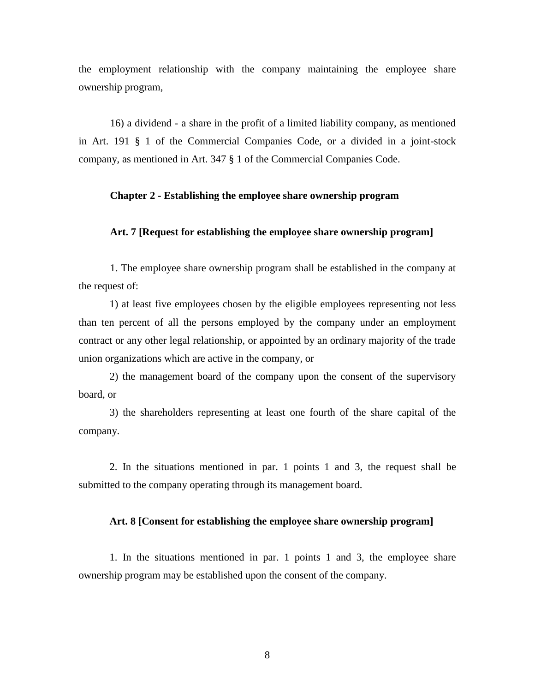the employment relationship with the company maintaining the employee share ownership program,

16) a dividend - a share in the profit of a limited liability company, as mentioned in Art. 191 § 1 of the Commercial Companies Code, or a divided in a joint-stock company, as mentioned in Art. 347 § 1 of the Commercial Companies Code.

### **Chapter 2 - Establishing the employee share ownership program**

### **Art. 7 [Request for establishing the employee share ownership program]**

1. The employee share ownership program shall be established in the company at the request of:

1) at least five employees chosen by the eligible employees representing not less than ten percent of all the persons employed by the company under an employment contract or any other legal relationship, or appointed by an ordinary majority of the trade union organizations which are active in the company, or

2) the management board of the company upon the consent of the supervisory board, or

3) the shareholders representing at least one fourth of the share capital of the company.

2. In the situations mentioned in par. 1 points 1 and 3, the request shall be submitted to the company operating through its management board.

#### **Art. 8 [Consent for establishing the employee share ownership program]**

1. In the situations mentioned in par. 1 points 1 and 3, the employee share ownership program may be established upon the consent of the company.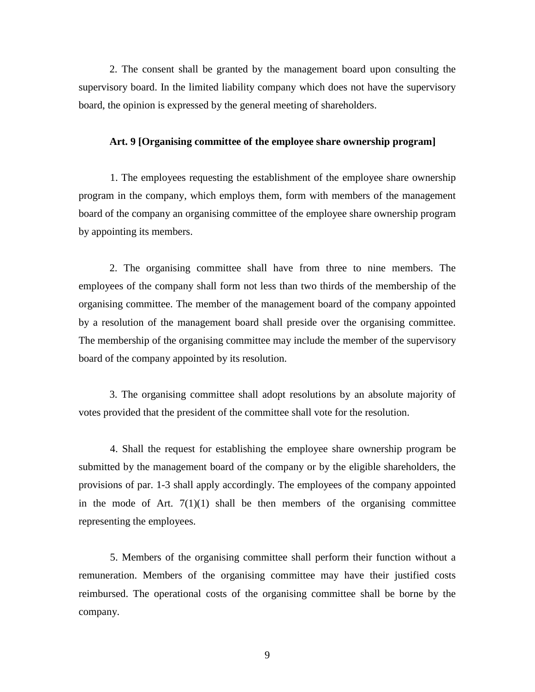2. The consent shall be granted by the management board upon consulting the supervisory board. In the limited liability company which does not have the supervisory board, the opinion is expressed by the general meeting of shareholders.

### **Art. 9 [Organising committee of the employee share ownership program]**

1. The employees requesting the establishment of the employee share ownership program in the company, which employs them, form with members of the management board of the company an organising committee of the employee share ownership program by appointing its members.

2. The organising committee shall have from three to nine members. The employees of the company shall form not less than two thirds of the membership of the organising committee. The member of the management board of the company appointed by a resolution of the management board shall preside over the organising committee. The membership of the organising committee may include the member of the supervisory board of the company appointed by its resolution.

3. The organising committee shall adopt resolutions by an absolute majority of votes provided that the president of the committee shall vote for the resolution.

4. Shall the request for establishing the employee share ownership program be submitted by the management board of the company or by the eligible shareholders, the provisions of par. 1-3 shall apply accordingly. The employees of the company appointed in the mode of Art.  $7(1)(1)$  shall be then members of the organising committee representing the employees.

5. Members of the organising committee shall perform their function without a remuneration. Members of the organising committee may have their justified costs reimbursed. The operational costs of the organising committee shall be borne by the company.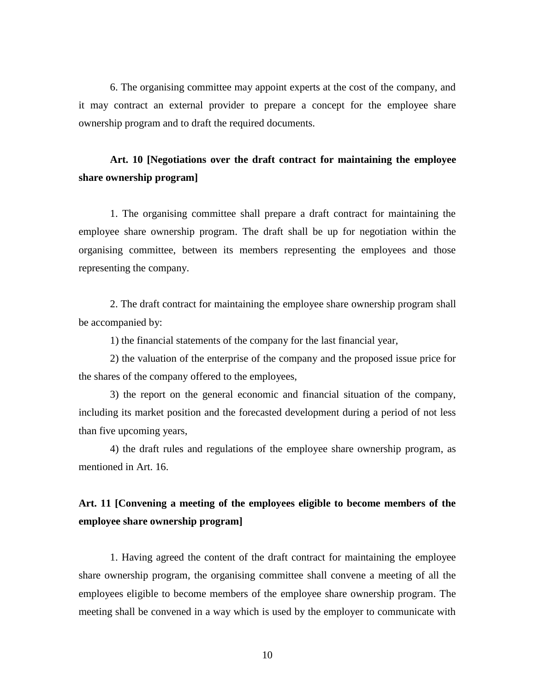6. The organising committee may appoint experts at the cost of the company, and it may contract an external provider to prepare a concept for the employee share ownership program and to draft the required documents.

# **Art. 10 [Negotiations over the draft contract for maintaining the employee share ownership program]**

1. The organising committee shall prepare a draft contract for maintaining the employee share ownership program. The draft shall be up for negotiation within the organising committee, between its members representing the employees and those representing the company.

2. The draft contract for maintaining the employee share ownership program shall be accompanied by:

1) the financial statements of the company for the last financial year,

2) the valuation of the enterprise of the company and the proposed issue price for the shares of the company offered to the employees,

3) the report on the general economic and financial situation of the company, including its market position and the forecasted development during a period of not less than five upcoming years,

4) the draft rules and regulations of the employee share ownership program, as mentioned in Art. 16.

# **Art. 11 [Convening a meeting of the employees eligible to become members of the employee share ownership program]**

1. Having agreed the content of the draft contract for maintaining the employee share ownership program, the organising committee shall convene a meeting of all the employees eligible to become members of the employee share ownership program. The meeting shall be convened in a way which is used by the employer to communicate with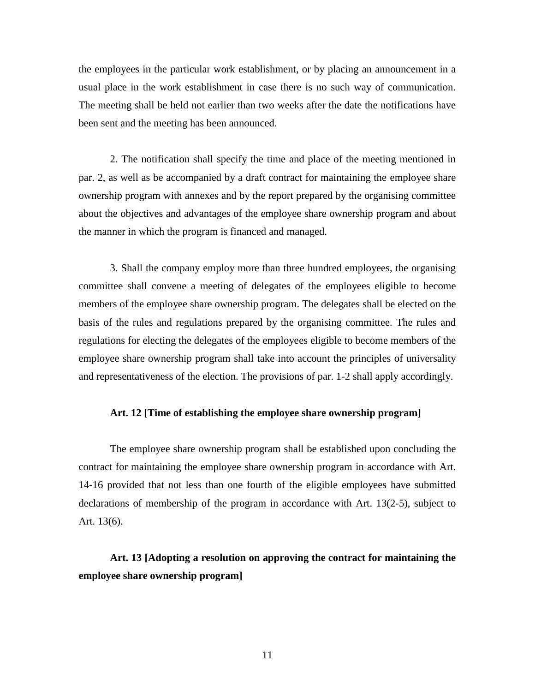the employees in the particular work establishment, or by placing an announcement in a usual place in the work establishment in case there is no such way of communication. The meeting shall be held not earlier than two weeks after the date the notifications have been sent and the meeting has been announced.

2. The notification shall specify the time and place of the meeting mentioned in par. 2, as well as be accompanied by a draft contract for maintaining the employee share ownership program with annexes and by the report prepared by the organising committee about the objectives and advantages of the employee share ownership program and about the manner in which the program is financed and managed.

3. Shall the company employ more than three hundred employees, the organising committee shall convene a meeting of delegates of the employees eligible to become members of the employee share ownership program. The delegates shall be elected on the basis of the rules and regulations prepared by the organising committee. The rules and regulations for electing the delegates of the employees eligible to become members of the employee share ownership program shall take into account the principles of universality and representativeness of the election. The provisions of par. 1-2 shall apply accordingly.

### **Art. 12 [Time of establishing the employee share ownership program]**

The employee share ownership program shall be established upon concluding the contract for maintaining the employee share ownership program in accordance with Art. 14-16 provided that not less than one fourth of the eligible employees have submitted declarations of membership of the program in accordance with Art. 13(2-5), subject to Art. 13(6).

# **Art. 13 [Adopting a resolution on approving the contract for maintaining the employee share ownership program]**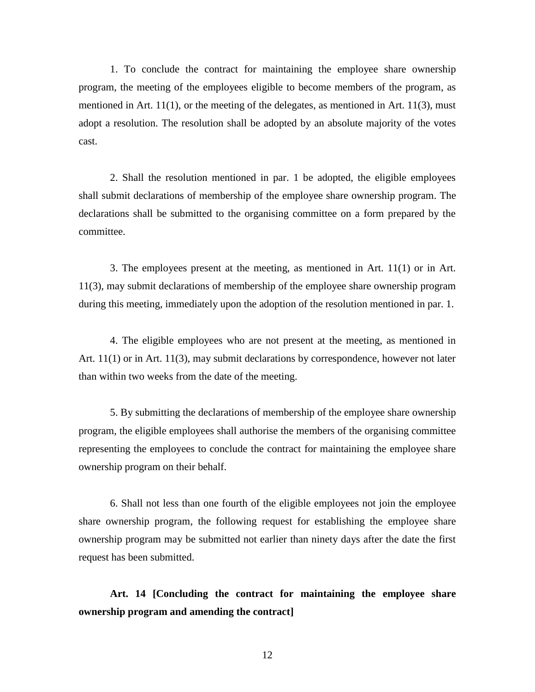1. To conclude the contract for maintaining the employee share ownership program, the meeting of the employees eligible to become members of the program, as mentioned in Art. 11(1), or the meeting of the delegates, as mentioned in Art. 11(3), must adopt a resolution. The resolution shall be adopted by an absolute majority of the votes cast.

2. Shall the resolution mentioned in par. 1 be adopted, the eligible employees shall submit declarations of membership of the employee share ownership program. The declarations shall be submitted to the organising committee on a form prepared by the committee.

3. The employees present at the meeting, as mentioned in Art. 11(1) or in Art. 11(3), may submit declarations of membership of the employee share ownership program during this meeting, immediately upon the adoption of the resolution mentioned in par. 1.

4. The eligible employees who are not present at the meeting, as mentioned in Art. 11(1) or in Art. 11(3), may submit declarations by correspondence, however not later than within two weeks from the date of the meeting.

5. By submitting the declarations of membership of the employee share ownership program, the eligible employees shall authorise the members of the organising committee representing the employees to conclude the contract for maintaining the employee share ownership program on their behalf.

6. Shall not less than one fourth of the eligible employees not join the employee share ownership program, the following request for establishing the employee share ownership program may be submitted not earlier than ninety days after the date the first request has been submitted.

**Art. 14 [Concluding the contract for maintaining the employee share ownership program and amending the contract]**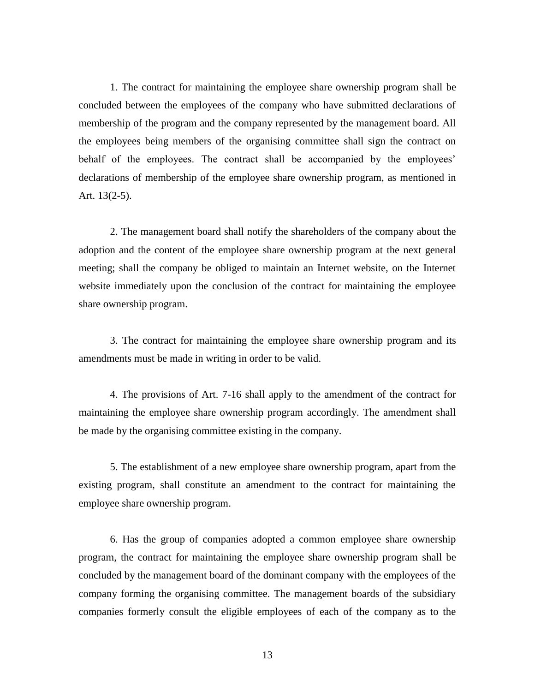1. The contract for maintaining the employee share ownership program shall be concluded between the employees of the company who have submitted declarations of membership of the program and the company represented by the management board. All the employees being members of the organising committee shall sign the contract on behalf of the employees. The contract shall be accompanied by the employees' declarations of membership of the employee share ownership program, as mentioned in Art. 13(2-5).

2. The management board shall notify the shareholders of the company about the adoption and the content of the employee share ownership program at the next general meeting; shall the company be obliged to maintain an Internet website, on the Internet website immediately upon the conclusion of the contract for maintaining the employee share ownership program.

3. The contract for maintaining the employee share ownership program and its amendments must be made in writing in order to be valid.

4. The provisions of Art. 7-16 shall apply to the amendment of the contract for maintaining the employee share ownership program accordingly. The amendment shall be made by the organising committee existing in the company.

5. The establishment of a new employee share ownership program, apart from the existing program, shall constitute an amendment to the contract for maintaining the employee share ownership program.

6. Has the group of companies adopted a common employee share ownership program, the contract for maintaining the employee share ownership program shall be concluded by the management board of the dominant company with the employees of the company forming the organising committee. The management boards of the subsidiary companies formerly consult the eligible employees of each of the company as to the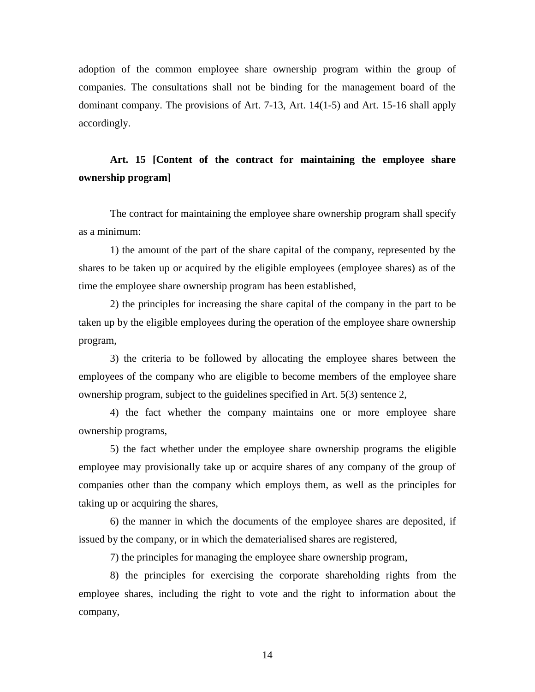adoption of the common employee share ownership program within the group of companies. The consultations shall not be binding for the management board of the dominant company. The provisions of Art. 7-13, Art. 14(1-5) and Art. 15-16 shall apply accordingly.

# **Art. 15 [Content of the contract for maintaining the employee share ownership program]**

The contract for maintaining the employee share ownership program shall specify as a minimum:

1) the amount of the part of the share capital of the company, represented by the shares to be taken up or acquired by the eligible employees (employee shares) as of the time the employee share ownership program has been established,

2) the principles for increasing the share capital of the company in the part to be taken up by the eligible employees during the operation of the employee share ownership program,

3) the criteria to be followed by allocating the employee shares between the employees of the company who are eligible to become members of the employee share ownership program, subject to the guidelines specified in Art. 5(3) sentence 2,

4) the fact whether the company maintains one or more employee share ownership programs,

5) the fact whether under the employee share ownership programs the eligible employee may provisionally take up or acquire shares of any company of the group of companies other than the company which employs them, as well as the principles for taking up or acquiring the shares,

6) the manner in which the documents of the employee shares are deposited, if issued by the company, or in which the dematerialised shares are registered,

7) the principles for managing the employee share ownership program,

8) the principles for exercising the corporate shareholding rights from the employee shares, including the right to vote and the right to information about the company,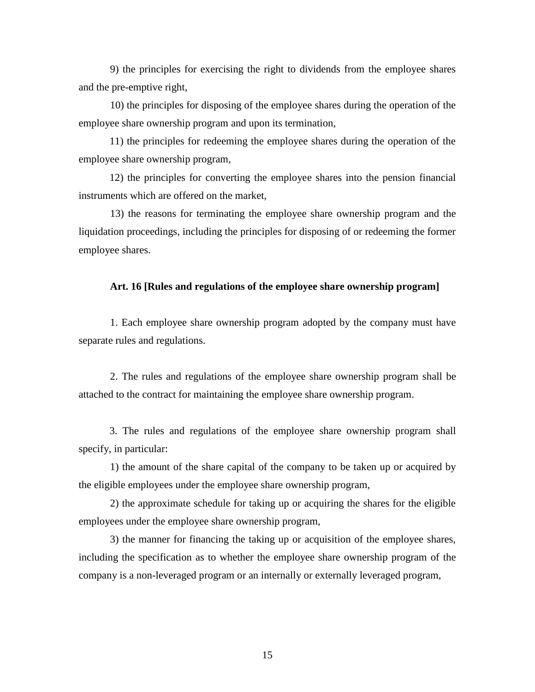9) the principles for exercising the right to dividends from the employee shares and the pre-emptive right,

10) the principles for disposing of the employee shares during the operation of the employee share ownership program and upon its termination,

11) the principles for redeeming the employee shares during the operation of the employee share ownership program,

12) the principles for converting the employee shares into the pension financial instruments which are offered on the market,

13) the reasons for terminating the employee share ownership program and the liquidation proceedings, including the principles for disposing of or redeeming the former employee shares.

#### **Art. 16 [Rules and regulations of the employee share ownership program]**

1. Each employee share ownership program adopted by the company must have separate rules and regulations.

2. The rules and regulations of the employee share ownership program shall be attached to the contract for maintaining the employee share ownership program.

3. The rules and regulations of the employee share ownership program shall specify, in particular:

1) the amount of the share capital of the company to be taken up or acquired by the eligible employees under the employee share ownership program,

2) the approximate schedule for taking up or acquiring the shares for the eligible employees under the employee share ownership program,

3) the manner for financing the taking up or acquisition of the employee shares, including the specification as to whether the employee share ownership program of the company is a non-leveraged program or an internally or externally leveraged program,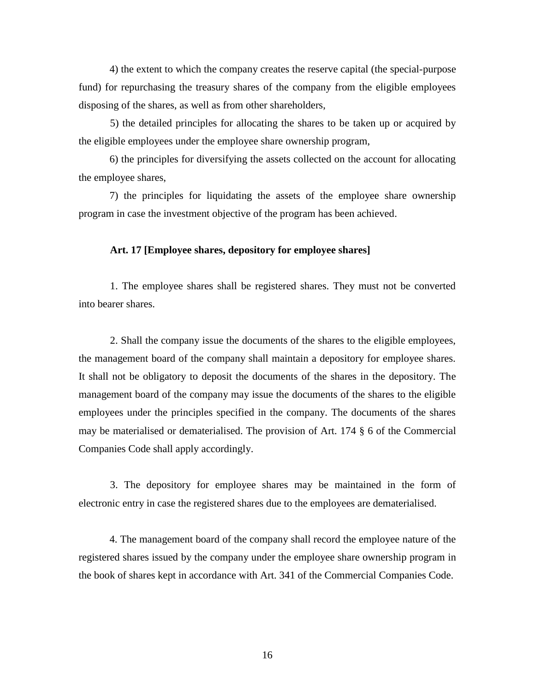4) the extent to which the company creates the reserve capital (the special-purpose fund) for repurchasing the treasury shares of the company from the eligible employees disposing of the shares, as well as from other shareholders,

5) the detailed principles for allocating the shares to be taken up or acquired by the eligible employees under the employee share ownership program,

6) the principles for diversifying the assets collected on the account for allocating the employee shares,

7) the principles for liquidating the assets of the employee share ownership program in case the investment objective of the program has been achieved.

### **Art. 17 [Employee shares, depository for employee shares]**

1. The employee shares shall be registered shares. They must not be converted into bearer shares.

2. Shall the company issue the documents of the shares to the eligible employees, the management board of the company shall maintain a depository for employee shares. It shall not be obligatory to deposit the documents of the shares in the depository. The management board of the company may issue the documents of the shares to the eligible employees under the principles specified in the company. The documents of the shares may be materialised or dematerialised. The provision of Art. 174 § 6 of the Commercial Companies Code shall apply accordingly.

3. The depository for employee shares may be maintained in the form of electronic entry in case the registered shares due to the employees are dematerialised.

4. The management board of the company shall record the employee nature of the registered shares issued by the company under the employee share ownership program in the book of shares kept in accordance with Art. 341 of the Commercial Companies Code.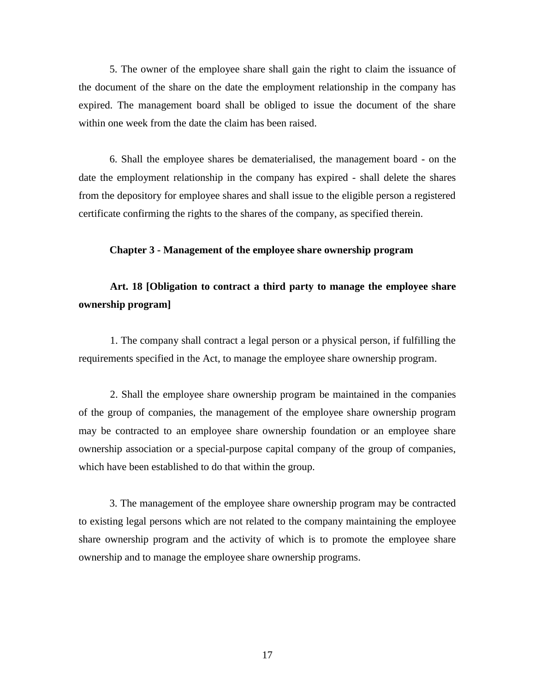5. The owner of the employee share shall gain the right to claim the issuance of the document of the share on the date the employment relationship in the company has expired. The management board shall be obliged to issue the document of the share within one week from the date the claim has been raised.

6. Shall the employee shares be dematerialised, the management board - on the date the employment relationship in the company has expired - shall delete the shares from the depository for employee shares and shall issue to the eligible person a registered certificate confirming the rights to the shares of the company, as specified therein.

### **Chapter 3 - Management of the employee share ownership program**

# **Art. 18 [Obligation to contract a third party to manage the employee share ownership program]**

1. The company shall contract a legal person or a physical person, if fulfilling the requirements specified in the Act, to manage the employee share ownership program.

2. Shall the employee share ownership program be maintained in the companies of the group of companies, the management of the employee share ownership program may be contracted to an employee share ownership foundation or an employee share ownership association or a special-purpose capital company of the group of companies, which have been established to do that within the group.

3. The management of the employee share ownership program may be contracted to existing legal persons which are not related to the company maintaining the employee share ownership program and the activity of which is to promote the employee share ownership and to manage the employee share ownership programs.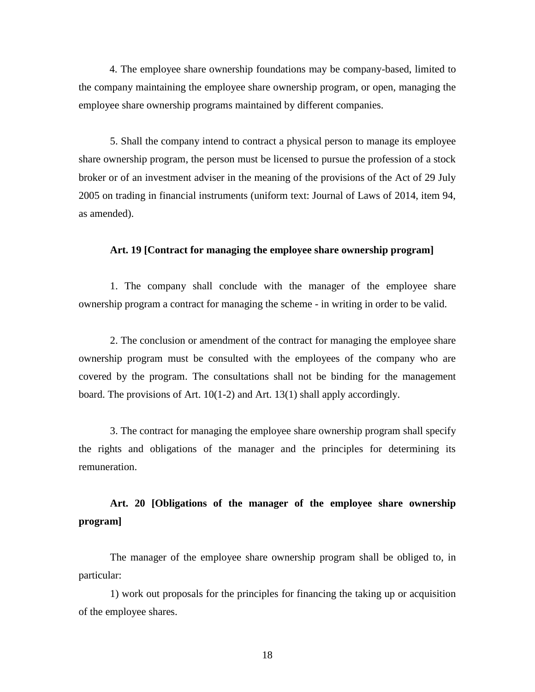4. The employee share ownership foundations may be company-based, limited to the company maintaining the employee share ownership program, or open, managing the employee share ownership programs maintained by different companies.

5. Shall the company intend to contract a physical person to manage its employee share ownership program, the person must be licensed to pursue the profession of a stock broker or of an investment adviser in the meaning of the provisions of the Act of 29 July 2005 on trading in financial instruments (uniform text: Journal of Laws of 2014, item 94, as amended).

### **Art. 19 [Contract for managing the employee share ownership program]**

1. The company shall conclude with the manager of the employee share ownership program a contract for managing the scheme - in writing in order to be valid.

2. The conclusion or amendment of the contract for managing the employee share ownership program must be consulted with the employees of the company who are covered by the program. The consultations shall not be binding for the management board. The provisions of Art. 10(1-2) and Art. 13(1) shall apply accordingly.

3. The contract for managing the employee share ownership program shall specify the rights and obligations of the manager and the principles for determining its remuneration.

# **Art. 20 [Obligations of the manager of the employee share ownership program]**

The manager of the employee share ownership program shall be obliged to, in particular:

1) work out proposals for the principles for financing the taking up or acquisition of the employee shares.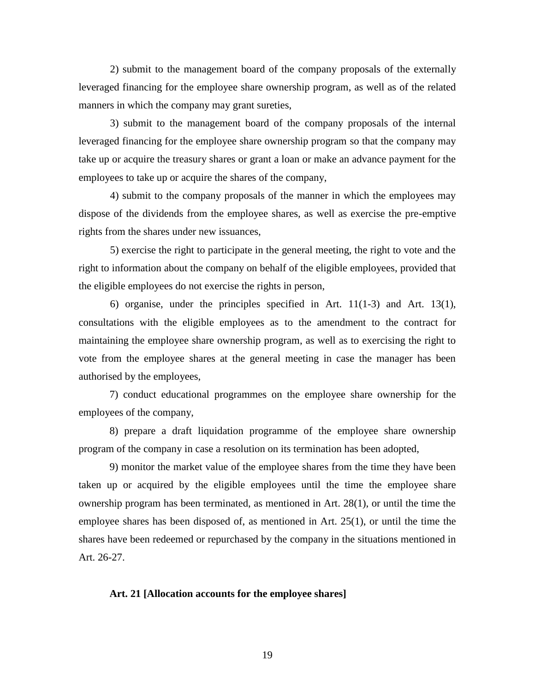2) submit to the management board of the company proposals of the externally leveraged financing for the employee share ownership program, as well as of the related manners in which the company may grant sureties,

3) submit to the management board of the company proposals of the internal leveraged financing for the employee share ownership program so that the company may take up or acquire the treasury shares or grant a loan or make an advance payment for the employees to take up or acquire the shares of the company,

4) submit to the company proposals of the manner in which the employees may dispose of the dividends from the employee shares, as well as exercise the pre-emptive rights from the shares under new issuances,

5) exercise the right to participate in the general meeting, the right to vote and the right to information about the company on behalf of the eligible employees, provided that the eligible employees do not exercise the rights in person,

6) organise, under the principles specified in Art. 11(1-3) and Art. 13(1), consultations with the eligible employees as to the amendment to the contract for maintaining the employee share ownership program, as well as to exercising the right to vote from the employee shares at the general meeting in case the manager has been authorised by the employees,

7) conduct educational programmes on the employee share ownership for the employees of the company,

8) prepare a draft liquidation programme of the employee share ownership program of the company in case a resolution on its termination has been adopted,

9) monitor the market value of the employee shares from the time they have been taken up or acquired by the eligible employees until the time the employee share ownership program has been terminated, as mentioned in Art. 28(1), or until the time the employee shares has been disposed of, as mentioned in Art. 25(1), or until the time the shares have been redeemed or repurchased by the company in the situations mentioned in Art. 26-27.

#### **Art. 21 [Allocation accounts for the employee shares]**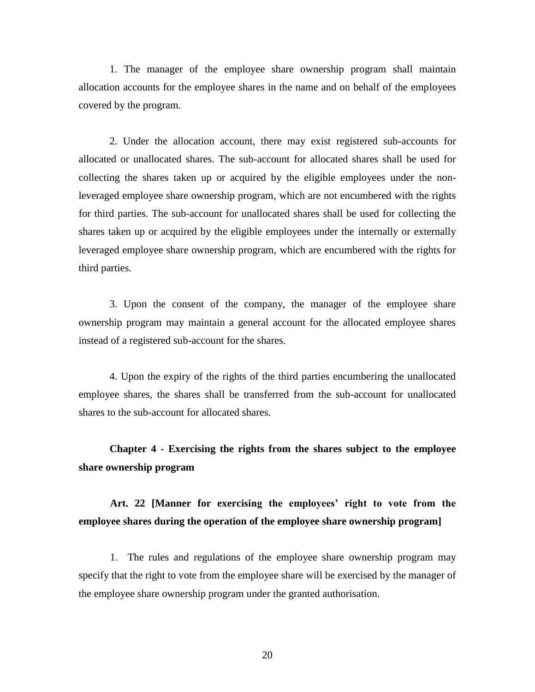1. The manager of the employee share ownership program shall maintain allocation accounts for the employee shares in the name and on behalf of the employees covered by the program.

2. Under the allocation account, there may exist registered sub-accounts for allocated or unallocated shares. The sub-account for allocated shares shall be used for collecting the shares taken up or acquired by the eligible employees under the nonleveraged employee share ownership program, which are not encumbered with the rights for third parties. The sub-account for unallocated shares shall be used for collecting the shares taken up or acquired by the eligible employees under the internally or externally leveraged employee share ownership program, which are encumbered with the rights for third parties.

3. Upon the consent of the company, the manager of the employee share ownership program may maintain a general account for the allocated employee shares instead of a registered sub-account for the shares.

4. Upon the expiry of the rights of the third parties encumbering the unallocated employee shares, the shares shall be transferred from the sub-account for unallocated shares to the sub-account for allocated shares.

**Chapter 4 - Exercising the rights from the shares subject to the employee share ownership program**

# **Art. 22 [Manner for exercising the employees' right to vote from the employee shares during the operation of the employee share ownership program]**

1. The rules and regulations of the employee share ownership program may specify that the right to vote from the employee share will be exercised by the manager of the employee share ownership program under the granted authorisation.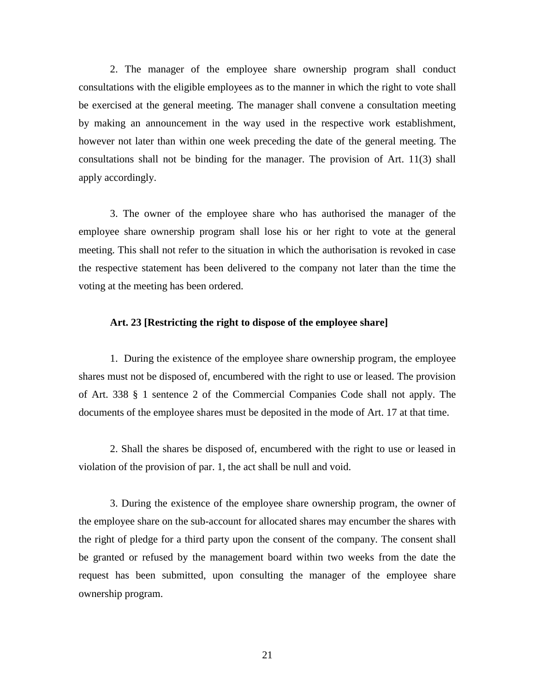2. The manager of the employee share ownership program shall conduct consultations with the eligible employees as to the manner in which the right to vote shall be exercised at the general meeting. The manager shall convene a consultation meeting by making an announcement in the way used in the respective work establishment, however not later than within one week preceding the date of the general meeting. The consultations shall not be binding for the manager. The provision of Art. 11(3) shall apply accordingly.

3. The owner of the employee share who has authorised the manager of the employee share ownership program shall lose his or her right to vote at the general meeting. This shall not refer to the situation in which the authorisation is revoked in case the respective statement has been delivered to the company not later than the time the voting at the meeting has been ordered.

### **Art. 23 [Restricting the right to dispose of the employee share]**

1. During the existence of the employee share ownership program, the employee shares must not be disposed of, encumbered with the right to use or leased. The provision of Art. 338 § 1 sentence 2 of the Commercial Companies Code shall not apply. The documents of the employee shares must be deposited in the mode of Art. 17 at that time.

2. Shall the shares be disposed of, encumbered with the right to use or leased in violation of the provision of par. 1, the act shall be null and void.

3. During the existence of the employee share ownership program, the owner of the employee share on the sub-account for allocated shares may encumber the shares with the right of pledge for a third party upon the consent of the company. The consent shall be granted or refused by the management board within two weeks from the date the request has been submitted, upon consulting the manager of the employee share ownership program.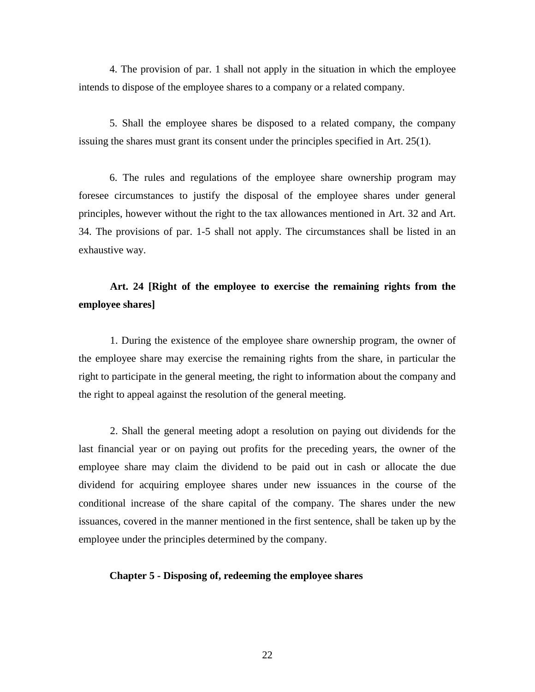4. The provision of par. 1 shall not apply in the situation in which the employee intends to dispose of the employee shares to a company or a related company.

5. Shall the employee shares be disposed to a related company, the company issuing the shares must grant its consent under the principles specified in Art. 25(1).

6. The rules and regulations of the employee share ownership program may foresee circumstances to justify the disposal of the employee shares under general principles, however without the right to the tax allowances mentioned in Art. 32 and Art. 34. The provisions of par. 1-5 shall not apply. The circumstances shall be listed in an exhaustive way.

# **Art. 24 [Right of the employee to exercise the remaining rights from the employee shares]**

1. During the existence of the employee share ownership program, the owner of the employee share may exercise the remaining rights from the share, in particular the right to participate in the general meeting, the right to information about the company and the right to appeal against the resolution of the general meeting.

2. Shall the general meeting adopt a resolution on paying out dividends for the last financial year or on paying out profits for the preceding years, the owner of the employee share may claim the dividend to be paid out in cash or allocate the due dividend for acquiring employee shares under new issuances in the course of the conditional increase of the share capital of the company. The shares under the new issuances, covered in the manner mentioned in the first sentence, shall be taken up by the employee under the principles determined by the company.

### **Chapter 5 - Disposing of, redeeming the employee shares**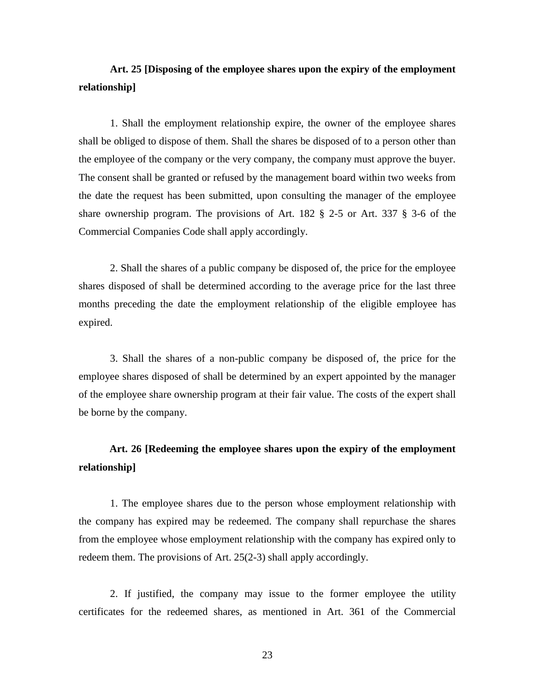# **Art. 25 [Disposing of the employee shares upon the expiry of the employment relationship]**

1. Shall the employment relationship expire, the owner of the employee shares shall be obliged to dispose of them. Shall the shares be disposed of to a person other than the employee of the company or the very company, the company must approve the buyer. The consent shall be granted or refused by the management board within two weeks from the date the request has been submitted, upon consulting the manager of the employee share ownership program. The provisions of Art. 182 § 2-5 or Art. 337 § 3-6 of the Commercial Companies Code shall apply accordingly.

2. Shall the shares of a public company be disposed of, the price for the employee shares disposed of shall be determined according to the average price for the last three months preceding the date the employment relationship of the eligible employee has expired.

3. Shall the shares of a non-public company be disposed of, the price for the employee shares disposed of shall be determined by an expert appointed by the manager of the employee share ownership program at their fair value. The costs of the expert shall be borne by the company.

# **Art. 26 [Redeeming the employee shares upon the expiry of the employment relationship]**

1. The employee shares due to the person whose employment relationship with the company has expired may be redeemed. The company shall repurchase the shares from the employee whose employment relationship with the company has expired only to redeem them. The provisions of Art. 25(2-3) shall apply accordingly.

2. If justified, the company may issue to the former employee the utility certificates for the redeemed shares, as mentioned in Art. 361 of the Commercial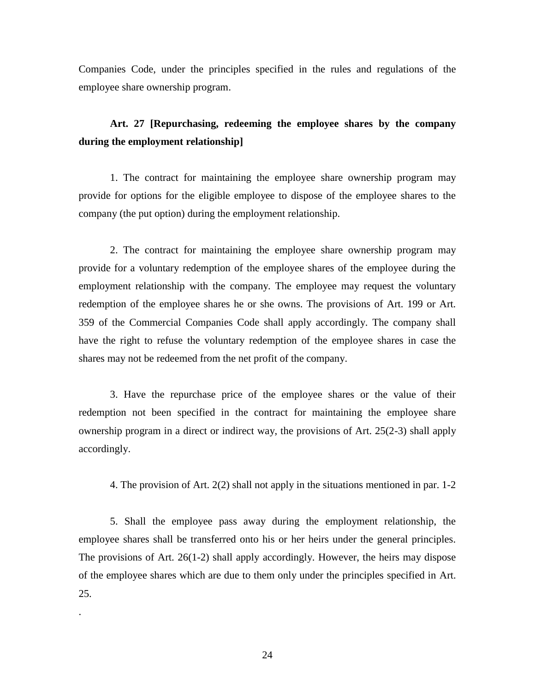Companies Code, under the principles specified in the rules and regulations of the employee share ownership program.

# **Art. 27 [Repurchasing, redeeming the employee shares by the company during the employment relationship]**

1. The contract for maintaining the employee share ownership program may provide for options for the eligible employee to dispose of the employee shares to the company (the put option) during the employment relationship.

2. The contract for maintaining the employee share ownership program may provide for a voluntary redemption of the employee shares of the employee during the employment relationship with the company. The employee may request the voluntary redemption of the employee shares he or she owns. The provisions of Art. 199 or Art. 359 of the Commercial Companies Code shall apply accordingly. The company shall have the right to refuse the voluntary redemption of the employee shares in case the shares may not be redeemed from the net profit of the company.

3. Have the repurchase price of the employee shares or the value of their redemption not been specified in the contract for maintaining the employee share ownership program in a direct or indirect way, the provisions of Art. 25(2-3) shall apply accordingly.

4. The provision of Art. 2(2) shall not apply in the situations mentioned in par. 1-2

5. Shall the employee pass away during the employment relationship, the employee shares shall be transferred onto his or her heirs under the general principles. The provisions of Art. 26(1-2) shall apply accordingly. However, the heirs may dispose of the employee shares which are due to them only under the principles specified in Art. 25.

.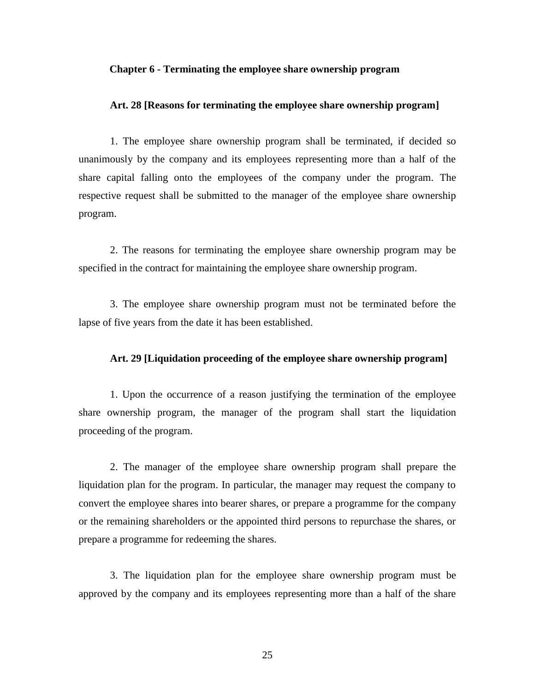### **Chapter 6 - Terminating the employee share ownership program**

### **Art. 28 [Reasons for terminating the employee share ownership program]**

1. The employee share ownership program shall be terminated, if decided so unanimously by the company and its employees representing more than a half of the share capital falling onto the employees of the company under the program. The respective request shall be submitted to the manager of the employee share ownership program.

2. The reasons for terminating the employee share ownership program may be specified in the contract for maintaining the employee share ownership program.

3. The employee share ownership program must not be terminated before the lapse of five years from the date it has been established.

#### **Art. 29 [Liquidation proceeding of the employee share ownership program]**

1. Upon the occurrence of a reason justifying the termination of the employee share ownership program, the manager of the program shall start the liquidation proceeding of the program.

2. The manager of the employee share ownership program shall prepare the liquidation plan for the program. In particular, the manager may request the company to convert the employee shares into bearer shares, or prepare a programme for the company or the remaining shareholders or the appointed third persons to repurchase the shares, or prepare a programme for redeeming the shares.

3. The liquidation plan for the employee share ownership program must be approved by the company and its employees representing more than a half of the share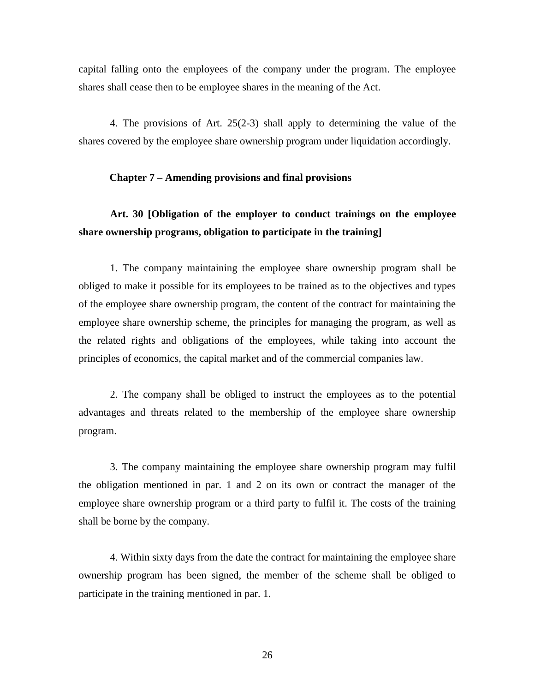capital falling onto the employees of the company under the program. The employee shares shall cease then to be employee shares in the meaning of the Act.

4. The provisions of Art. 25(2-3) shall apply to determining the value of the shares covered by the employee share ownership program under liquidation accordingly.

#### **Chapter 7 – Amending provisions and final provisions**

## **Art. 30 [Obligation of the employer to conduct trainings on the employee share ownership programs, obligation to participate in the training]**

1. The company maintaining the employee share ownership program shall be obliged to make it possible for its employees to be trained as to the objectives and types of the employee share ownership program, the content of the contract for maintaining the employee share ownership scheme, the principles for managing the program, as well as the related rights and obligations of the employees, while taking into account the principles of economics, the capital market and of the commercial companies law.

2. The company shall be obliged to instruct the employees as to the potential advantages and threats related to the membership of the employee share ownership program.

3. The company maintaining the employee share ownership program may fulfil the obligation mentioned in par. 1 and 2 on its own or contract the manager of the employee share ownership program or a third party to fulfil it. The costs of the training shall be borne by the company.

4. Within sixty days from the date the contract for maintaining the employee share ownership program has been signed, the member of the scheme shall be obliged to participate in the training mentioned in par. 1.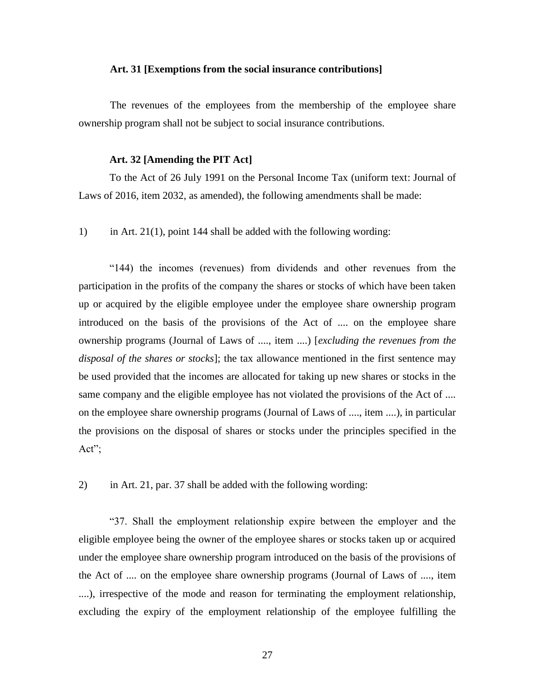#### **Art. 31 [Exemptions from the social insurance contributions]**

The revenues of the employees from the membership of the employee share ownership program shall not be subject to social insurance contributions.

#### **Art. 32 [Amending the PIT Act]**

To the Act of 26 July 1991 on the Personal Income Tax (uniform text: Journal of Laws of 2016, item 2032, as amended), the following amendments shall be made:

1) in Art. 21(1), point 144 shall be added with the following wording:

"144) the incomes (revenues) from dividends and other revenues from the participation in the profits of the company the shares or stocks of which have been taken up or acquired by the eligible employee under the employee share ownership program introduced on the basis of the provisions of the Act of .... on the employee share ownership programs (Journal of Laws of ...., item ....) [*excluding the revenues from the disposal of the shares or stocks*]; the tax allowance mentioned in the first sentence may be used provided that the incomes are allocated for taking up new shares or stocks in the same company and the eligible employee has not violated the provisions of the Act of .... on the employee share ownership programs (Journal of Laws of ...., item ....), in particular the provisions on the disposal of shares or stocks under the principles specified in the Act";

2) in Art. 21, par. 37 shall be added with the following wording:

"37. Shall the employment relationship expire between the employer and the eligible employee being the owner of the employee shares or stocks taken up or acquired under the employee share ownership program introduced on the basis of the provisions of the Act of .... on the employee share ownership programs (Journal of Laws of ...., item ....), irrespective of the mode and reason for terminating the employment relationship, excluding the expiry of the employment relationship of the employee fulfilling the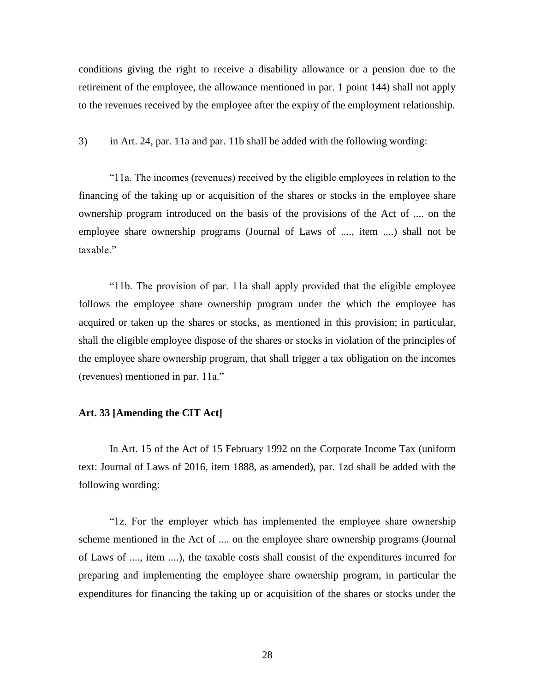conditions giving the right to receive a disability allowance or a pension due to the retirement of the employee, the allowance mentioned in par. 1 point 144) shall not apply to the revenues received by the employee after the expiry of the employment relationship.

3) in Art. 24, par. 11a and par. 11b shall be added with the following wording:

"11a. The incomes (revenues) received by the eligible employees in relation to the financing of the taking up or acquisition of the shares or stocks in the employee share ownership program introduced on the basis of the provisions of the Act of .... on the employee share ownership programs (Journal of Laws of ...., item ....) shall not be taxable."

"11b. The provision of par. 11a shall apply provided that the eligible employee follows the employee share ownership program under the which the employee has acquired or taken up the shares or stocks, as mentioned in this provision; in particular, shall the eligible employee dispose of the shares or stocks in violation of the principles of the employee share ownership program, that shall trigger a tax obligation on the incomes (revenues) mentioned in par. 11a."

### **Art. 33 [Amending the CIT Act]**

In Art. 15 of the Act of 15 February 1992 on the Corporate Income Tax (uniform text: Journal of Laws of 2016, item 1888, as amended), par. 1zd shall be added with the following wording:

"1z. For the employer which has implemented the employee share ownership scheme mentioned in the Act of .... on the employee share ownership programs (Journal of Laws of ...., item ....), the taxable costs shall consist of the expenditures incurred for preparing and implementing the employee share ownership program, in particular the expenditures for financing the taking up or acquisition of the shares or stocks under the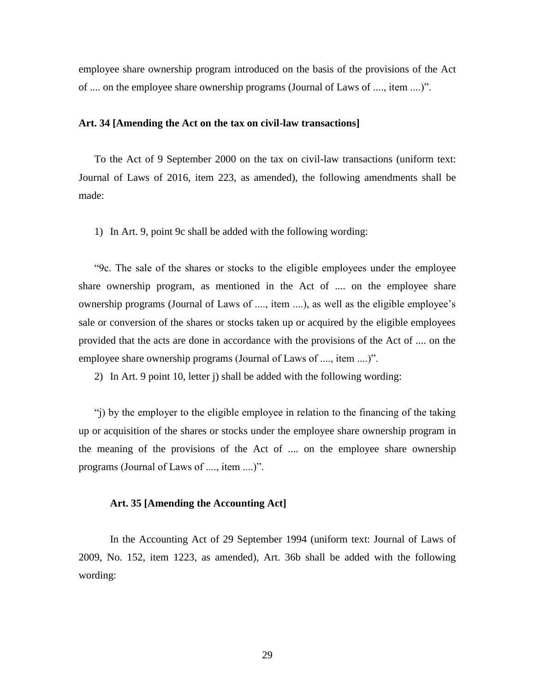employee share ownership program introduced on the basis of the provisions of the Act of .... on the employee share ownership programs (Journal of Laws of ...., item ....)".

### **Art. 34 [Amending the Act on the tax on civil-law transactions]**

To the Act of 9 September 2000 on the tax on civil-law transactions (uniform text: Journal of Laws of 2016, item 223, as amended), the following amendments shall be made:

1) In Art. 9, point 9c shall be added with the following wording:

"9c. The sale of the shares or stocks to the eligible employees under the employee share ownership program, as mentioned in the Act of .... on the employee share ownership programs (Journal of Laws of ...., item ....), as well as the eligible employee's sale or conversion of the shares or stocks taken up or acquired by the eligible employees provided that the acts are done in accordance with the provisions of the Act of .... on the employee share ownership programs (Journal of Laws of ...., item ....)".

2) In Art. 9 point 10, letter j) shall be added with the following wording:

"j) by the employer to the eligible employee in relation to the financing of the taking up or acquisition of the shares or stocks under the employee share ownership program in the meaning of the provisions of the Act of .... on the employee share ownership programs (Journal of Laws of ...., item ....)".

#### **Art. 35 [Amending the Accounting Act]**

In the Accounting Act of 29 September 1994 (uniform text: Journal of Laws of 2009, No. 152, item 1223, as amended), Art. 36b shall be added with the following wording: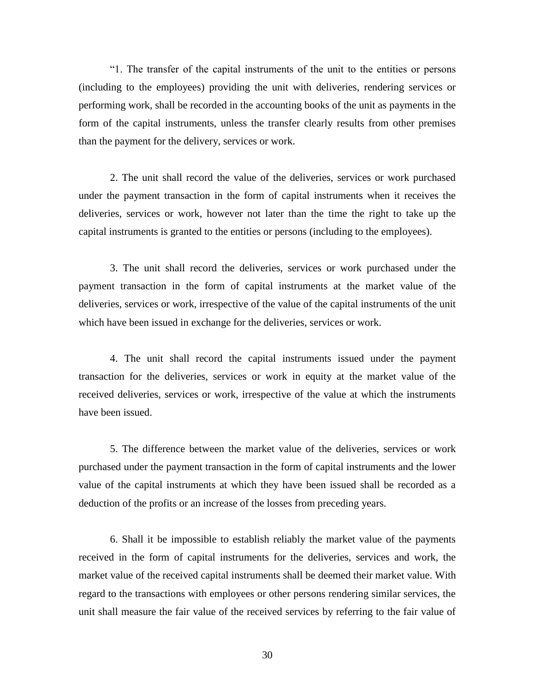"1. The transfer of the capital instruments of the unit to the entities or persons (including to the employees) providing the unit with deliveries, rendering services or performing work, shall be recorded in the accounting books of the unit as payments in the form of the capital instruments, unless the transfer clearly results from other premises than the payment for the delivery, services or work.

2. The unit shall record the value of the deliveries, services or work purchased under the payment transaction in the form of capital instruments when it receives the deliveries, services or work, however not later than the time the right to take up the capital instruments is granted to the entities or persons (including to the employees).

3. The unit shall record the deliveries, services or work purchased under the payment transaction in the form of capital instruments at the market value of the deliveries, services or work, irrespective of the value of the capital instruments of the unit which have been issued in exchange for the deliveries, services or work.

4. The unit shall record the capital instruments issued under the payment transaction for the deliveries, services or work in equity at the market value of the received deliveries, services or work, irrespective of the value at which the instruments have been issued.

5. The difference between the market value of the deliveries, services or work purchased under the payment transaction in the form of capital instruments and the lower value of the capital instruments at which they have been issued shall be recorded as a deduction of the profits or an increase of the losses from preceding years.

6. Shall it be impossible to establish reliably the market value of the payments received in the form of capital instruments for the deliveries, services and work, the market value of the received capital instruments shall be deemed their market value. With regard to the transactions with employees or other persons rendering similar services, the unit shall measure the fair value of the received services by referring to the fair value of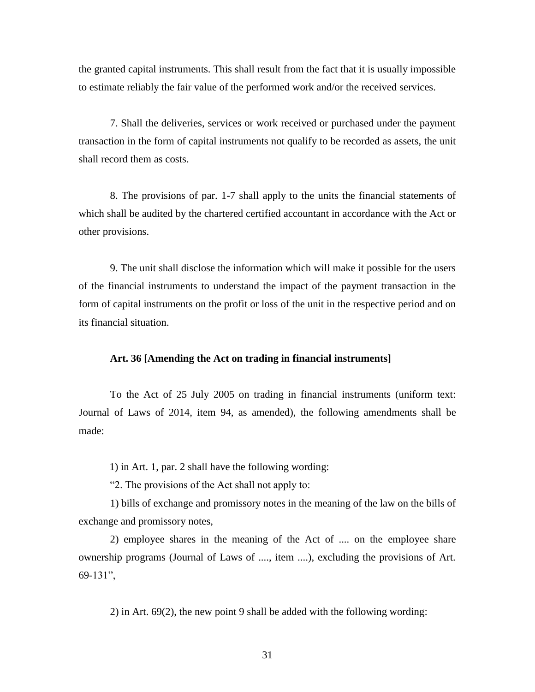the granted capital instruments. This shall result from the fact that it is usually impossible to estimate reliably the fair value of the performed work and/or the received services.

7. Shall the deliveries, services or work received or purchased under the payment transaction in the form of capital instruments not qualify to be recorded as assets, the unit shall record them as costs.

8. The provisions of par. 1-7 shall apply to the units the financial statements of which shall be audited by the chartered certified accountant in accordance with the Act or other provisions.

9. The unit shall disclose the information which will make it possible for the users of the financial instruments to understand the impact of the payment transaction in the form of capital instruments on the profit or loss of the unit in the respective period and on its financial situation.

#### **Art. 36 [Amending the Act on trading in financial instruments]**

To the Act of 25 July 2005 on trading in financial instruments (uniform text: Journal of Laws of 2014, item 94, as amended), the following amendments shall be made:

1) in Art. 1, par. 2 shall have the following wording:

"2. The provisions of the Act shall not apply to:

1) bills of exchange and promissory notes in the meaning of the law on the bills of exchange and promissory notes,

2) employee shares in the meaning of the Act of .... on the employee share ownership programs (Journal of Laws of ...., item ....), excluding the provisions of Art. 69-131",

2) in Art. 69(2), the new point 9 shall be added with the following wording: